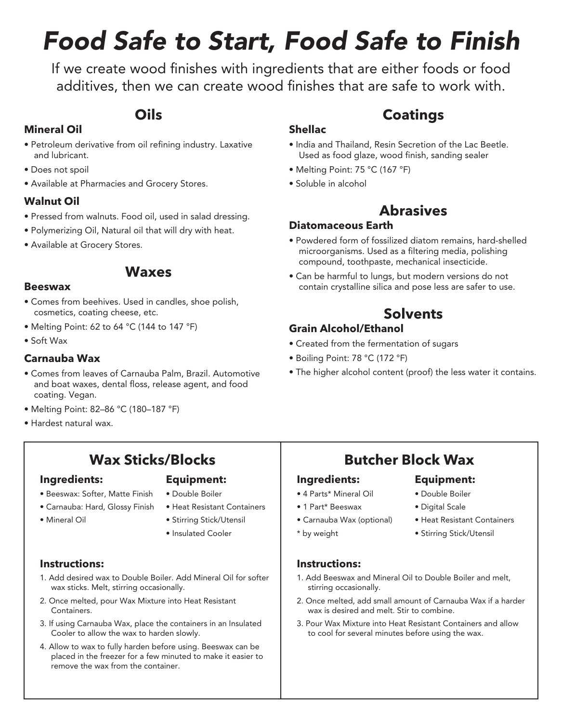# *Food Safe to Start, Food Safe to Finish*

If we create wood finishes with ingredients that are either foods or food additives, then we can create wood finishes that are safe to work with.

### **Oils**

### **Mineral Oil**

- Petroleum derivative from oil refining industry. Laxative and lubricant.
- Does not spoil
- Available at Pharmacies and Grocery Stores.

#### **Walnut Oil**

- Pressed from walnuts. Food oil, used in salad dressing.
- Polymerizing Oil, Natural oil that will dry with heat.
- Available at Grocery Stores.

### **Waxes**

#### **Beeswax**

- Comes from beehives. Used in candles, shoe polish, cosmetics, coating cheese, etc.
- Melting Point: 62 to 64 °C (144 to 147 °F)
- Soft Wax

#### **Carnauba Wax**

- Comes from leaves of Carnauba Palm, Brazil. Automotive and boat waxes, dental floss, release agent, and food coating. Vegan.
- Melting Point: 82–86 °C (180–187 °F)
- Hardest natural wax.

## **Wax Sticks/Blocks**

#### **Ingredients:**

#### **Equipment:**

- Beeswax: Softer, Matte Finish
- Carnauba: Hard, Glossy Finish
- Mineral Oil
- Double Boiler • Heat Resistant Containers
- Stirring Stick/Utensil
- Insulated Cooler

#### **Instructions:**

- 1. Add desired wax to Double Boiler. Add Mineral Oil for softer wax sticks. Melt, stirring occasionally.
- 2. Once melted, pour Wax Mixture into Heat Resistant Containers.
- 3. If using Carnauba Wax, place the containers in an Insulated Cooler to allow the wax to harden slowly.
- 4. Allow to wax to fully harden before using. Beeswax can be placed in the freezer for a few minuted to make it easier to remove the wax from the container.

### **Coatings**

- India and Thailand, Resin Secretion of the Lac Beetle. Used as food glaze, wood finish, sanding sealer
- Melting Point: 75 °C (167 °F)
- Soluble in alcohol

**Shellac**

### **Abrasives**

#### **Diatomaceous Earth**

- Powdered form of fossilized diatom remains, hard-shelled microorganisms. Used as a filtering media, polishing compound, toothpaste, mechanical insecticide.
- Can be harmful to lungs, but modern versions do not contain crystalline silica and pose less are safer to use.

### **Solvents**

#### **Grain Alcohol/Ethanol**

- Created from the fermentation of sugars
- Boiling Point: 78 °C (172 °F)
- The higher alcohol content (proof) the less water it contains.

### **Butcher Block Wax**

- 
- 1 Part\* Beeswax
- Carnauba Wax (optional)
- \* by weight
- **Instructions:**

#### 1. Add Beeswax and Mineral Oil to Double Boiler and melt, stirring occasionally.

- 2. Once melted, add small amount of Carnauba Wax if a harder wax is desired and melt. Stir to combine.
- 3. Pour Wax Mixture into Heat Resistant Containers and allow to cool for several minutes before using the wax.
- Digital Scale
	- Heat Resistant Containers
	- Stirring Stick/Utensil
- -
	-
- Double Boiler
	-
	- -
- **Equipment:**

**Ingredients:** • 4 Parts\* Mineral Oil